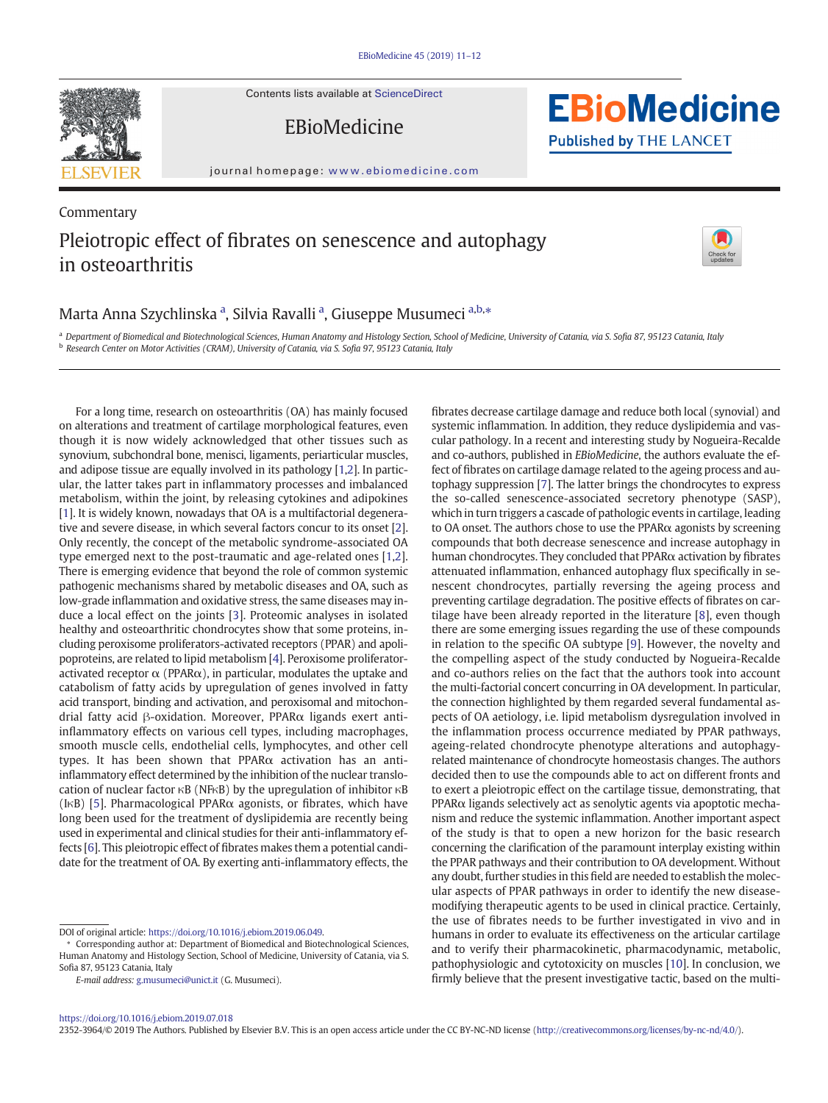Contents lists available at [ScienceDirect](http://www.sciencedirect.com/science/journal/)





journal homepage: <www.ebiomedicine.com>

# Commentary Pleiotropic effect of fibrates on senescence and autophagy in osteoarthritis



**EBioMedicine** 

**Published by THE LANCET** 

### Marta Anna Szychlinska <sup>a</sup>, Silvia Ravalli <sup>a</sup>, Giuseppe Musumeci <sup>a,b,</sup>\*

a Department of Biomedical and Biotechnological Sciences, Human Anatomy and Histology Section, School of Medicine, University of Catania, via S. Sofia 87, 95123 Catania, Italy <sup>b</sup> Research Center on Motor Activities (CRAM), University of Catania, via S. Sofia 97, 95123 Catania, Italy

For a long time, research on osteoarthritis (OA) has mainly focused on alterations and treatment of cartilage morphological features, even though it is now widely acknowledged that other tissues such as synovium, subchondral bone, menisci, ligaments, periarticular muscles, and adipose tissue are equally involved in its pathology [[1](#page-1-0),[2](#page-1-0)]. In particular, the latter takes part in inflammatory processes and imbalanced metabolism, within the joint, by releasing cytokines and adipokines [\[1\]](#page-1-0). It is widely known, nowadays that OA is a multifactorial degenerative and severe disease, in which several factors concur to its onset [[2](#page-1-0)]. Only recently, the concept of the metabolic syndrome-associated OA type emerged next to the post-traumatic and age-related ones [[1,2\]](#page-1-0). There is emerging evidence that beyond the role of common systemic pathogenic mechanisms shared by metabolic diseases and OA, such as low-grade inflammation and oxidative stress, the same diseases may induce a local effect on the joints [[3](#page-1-0)]. Proteomic analyses in isolated healthy and osteoarthritic chondrocytes show that some proteins, including peroxisome proliferators-activated receptors (PPAR) and apolipoproteins, are related to lipid metabolism [\[4\]](#page-1-0). Peroxisome proliferatoractivated receptor  $\alpha$  (PPAR $\alpha$ ), in particular, modulates the uptake and catabolism of fatty acids by upregulation of genes involved in fatty acid transport, binding and activation, and peroxisomal and mitochondrial fatty acid β-oxidation. Moreover, PPARα ligands exert antiinflammatory effects on various cell types, including macrophages, smooth muscle cells, endothelial cells, lymphocytes, and other cell types. It has been shown that PPARα activation has an antiinflammatory effect determined by the inhibition of the nuclear translocation of nuclear factor κB (NFκB) by the upregulation of inhibitor κB (I $\kappa$ B) [\[5\]](#page-1-0). Pharmacological PPAR $\alpha$  agonists, or fibrates, which have long been used for the treatment of dyslipidemia are recently being used in experimental and clinical studies for their anti-inflammatory effects [\[6\]](#page-1-0). This pleiotropic effect of fibrates makes them a potential candidate for the treatment of OA. By exerting anti-inflammatory effects, the fibrates decrease cartilage damage and reduce both local (synovial) and systemic inflammation. In addition, they reduce dyslipidemia and vascular pathology. In a recent and interesting study by Nogueira-Recalde and co-authors, published in EBioMedicine, the authors evaluate the effect of fibrates on cartilage damage related to the ageing process and autophagy suppression [\[7\]](#page-1-0). The latter brings the chondrocytes to express the so-called senescence-associated secretory phenotype (SASP), which in turn triggers a cascade of pathologic events in cartilage, leading to OA onset. The authors chose to use the  $PPAR\alpha$  agonists by screening compounds that both decrease senescence and increase autophagy in human chondrocytes. They concluded that  $PPAR\alpha$  activation by fibrates attenuated inflammation, enhanced autophagy flux specifically in senescent chondrocytes, partially reversing the ageing process and preventing cartilage degradation. The positive effects of fibrates on cartilage have been already reported in the literature [[8\]](#page-1-0), even though there are some emerging issues regarding the use of these compounds in relation to the specific OA subtype [[9](#page-1-0)]. However, the novelty and the compelling aspect of the study conducted by Nogueira-Recalde and co-authors relies on the fact that the authors took into account the multi-factorial concert concurring in OA development. In particular, the connection highlighted by them regarded several fundamental aspects of OA aetiology, i.e. lipid metabolism dysregulation involved in the inflammation process occurrence mediated by PPAR pathways, ageing-related chondrocyte phenotype alterations and autophagyrelated maintenance of chondrocyte homeostasis changes. The authors decided then to use the compounds able to act on different fronts and to exert a pleiotropic effect on the cartilage tissue, demonstrating, that PPARα ligands selectively act as senolytic agents via apoptotic mechanism and reduce the systemic inflammation. Another important aspect of the study is that to open a new horizon for the basic research concerning the clarification of the paramount interplay existing within the PPAR pathways and their contribution to OA development. Without any doubt, further studies in this field are needed to establish the molecular aspects of PPAR pathways in order to identify the new diseasemodifying therapeutic agents to be used in clinical practice. Certainly, the use of fibrates needs to be further investigated in vivo and in humans in order to evaluate its effectiveness on the articular cartilage and to verify their pharmacokinetic, pharmacodynamic, metabolic, pathophysiologic and cytotoxicity on muscles [[10](#page-1-0)]. In conclusion, we firmly believe that the present investigative tactic, based on the multi-

#### <https://doi.org/10.1016/j.ebiom.2019.07.018>

2352-3964/© 2019 The Authors. Published by Elsevier B.V. This is an open access article under the CC BY-NC-ND license [\(http://creativecommons.org/licenses/by-nc-nd/4.0/\)](http://creativecommons.org/licenses/by-nc-nd/4.0/).

DOI of original article: https://doi.org[/10.1016/j.ebiom.2019.06.049.](https://doi.org/10.1016/j.ebiom.2019.06.049)

<sup>⁎</sup> Corresponding author at: Department of Biomedical and Biotechnological Sciences, Human Anatomy and Histology Section, School of Medicine, University of Catania, via S. Sofia 87, 95123 Catania, Italy

E-mail address: <g.musumeci@unict.it> (G. Musumeci).